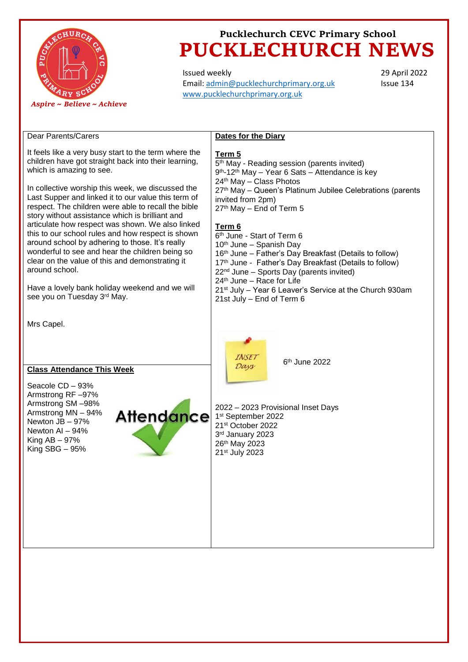

## **Pucklechurch CEVC Primary School PUCKLECHURCH NEWS**

Issued weekly Email: [admin@pucklechurchprimary.org.uk](mailto:admin@pucklechurchprimary.org.uk) [www.pucklechurchprimary.org.uk](http://www.pucklechurchprimary.org.uk/)

29 April 2022 Issue 134

| <b>Dear Parents/Carers</b>                                                                                                                                                                                                                                                                                                                                                                                                                                                                                                                                                                                                                                                                                                           | <b>Dates for the Diary</b>                                                                                                                                                                                                                                                                                                                                                                                                                                                                                                                                                                                                                                                                                  |  |  |
|--------------------------------------------------------------------------------------------------------------------------------------------------------------------------------------------------------------------------------------------------------------------------------------------------------------------------------------------------------------------------------------------------------------------------------------------------------------------------------------------------------------------------------------------------------------------------------------------------------------------------------------------------------------------------------------------------------------------------------------|-------------------------------------------------------------------------------------------------------------------------------------------------------------------------------------------------------------------------------------------------------------------------------------------------------------------------------------------------------------------------------------------------------------------------------------------------------------------------------------------------------------------------------------------------------------------------------------------------------------------------------------------------------------------------------------------------------------|--|--|
| It feels like a very busy start to the term where the<br>children have got straight back into their learning,<br>which is amazing to see.<br>In collective worship this week, we discussed the<br>Last Supper and linked it to our value this term of<br>respect. The children were able to recall the bible<br>story without assistance which is brilliant and<br>articulate how respect was shown. We also linked<br>this to our school rules and how respect is shown<br>around school by adhering to those. It's really<br>wonderful to see and hear the children being so<br>clear on the value of this and demonstrating it<br>around school.<br>Have a lovely bank holiday weekend and we will<br>see you on Tuesday 3rd May. | Term 5<br>5 <sup>th</sup> May - Reading session (parents invited)<br>9 <sup>th</sup> -12 <sup>th</sup> May - Year 6 Sats - Attendance is key<br>24 <sup>th</sup> May - Class Photos<br>27th May - Queen's Platinum Jubilee Celebrations (parents<br>invited from 2pm)<br>27th May - End of Term 5<br>Term 6<br>6 <sup>th</sup> June - Start of Term 6<br>10 <sup>th</sup> June - Spanish Day<br>16th June - Father's Day Breakfast (Details to follow)<br>17th June - Father's Day Breakfast (Details to follow)<br>22 <sup>nd</sup> June - Sports Day (parents invited)<br>$24th$ June – Race for Life<br>21 <sup>st</sup> July - Year 6 Leaver's Service at the Church 930am<br>21st July - End of Term 6 |  |  |
| Mrs Capel.<br><b>Class Attendance This Week</b><br>Seacole CD - 93%<br>Armstrong RF-97%<br>Armstrong SM-98%<br>Armstrong MN - 94%<br><b>Attendance</b><br>Newton JB - 97%<br>Newton AI - 94%<br>King $AB - 97%$<br>King $SBG - 95%$                                                                                                                                                                                                                                                                                                                                                                                                                                                                                                  | <i>INSET</i><br>6 <sup>th</sup> June 2022<br>Days<br>2022 - 2023 Provisional Inset Days<br>1st September 2022<br>21 <sup>st</sup> October 2022<br>3rd January 2023<br>26th May 2023<br>21st July 2023                                                                                                                                                                                                                                                                                                                                                                                                                                                                                                       |  |  |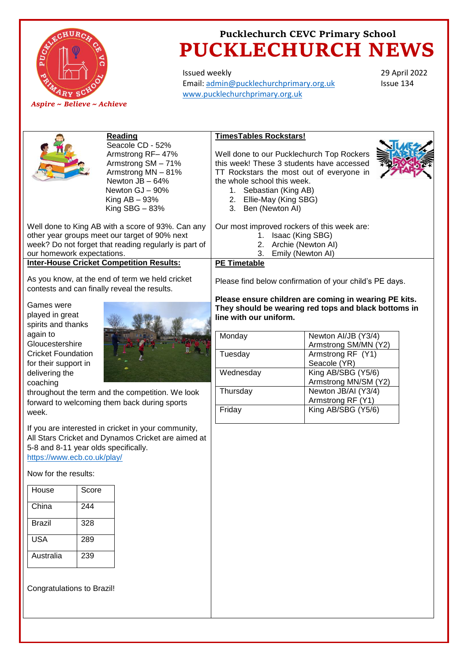

## **Pucklechurch CEVC Primary School PUCKLECHURCH NEWS**

Issued weekly Email: [admin@pucklechurchprimary.org.uk](mailto:admin@pucklechurchprimary.org.uk) [www.pucklechurchprimary.org.uk](http://www.pucklechurchprimary.org.uk/)

29 April 2022 Issue 134

|                                                                                                                                                                                           |       | <b>Reading</b>                                                                                                                                                | <b>TimesTables Rockstars!</b>                                                                                                                                                                                                                |                                                       |  |
|-------------------------------------------------------------------------------------------------------------------------------------------------------------------------------------------|-------|---------------------------------------------------------------------------------------------------------------------------------------------------------------|----------------------------------------------------------------------------------------------------------------------------------------------------------------------------------------------------------------------------------------------|-------------------------------------------------------|--|
|                                                                                                                                                                                           |       | Seacole CD - 52%<br>Armstrong RF-47%<br>Armstrong SM - 71%<br>Armstrong MN - 81%<br>Newton JB - 64%<br>Newton GJ - 90%<br>King $AB - 93%$<br>King $SBG - 83%$ | Well done to our Pucklechurch Top Rockers<br>this week! These 3 students have accessed<br>TT Rockstars the most out of everyone in<br>the whole school this week.<br>1. Sebastian (King AB)<br>2. Ellie-May (King SBG)<br>3. Ben (Newton AI) |                                                       |  |
| Well done to King AB with a score of 93%. Can any<br>other year groups meet our target of 90% next<br>week? Do not forget that reading regularly is part of<br>our homework expectations. |       |                                                                                                                                                               | Our most improved rockers of this week are:<br>1. Isaac (King SBG)<br>Archie (Newton AI)<br>2.<br>Emily (Newton AI)<br>3.                                                                                                                    |                                                       |  |
| <b>Inter-House Cricket Competition Results:</b>                                                                                                                                           |       | <b>PE Timetable</b>                                                                                                                                           |                                                                                                                                                                                                                                              |                                                       |  |
| As you know, at the end of term we held cricket<br>contests and can finally reveal the results.                                                                                           |       | Please find below confirmation of your child's PE days.                                                                                                       |                                                                                                                                                                                                                                              |                                                       |  |
| Games were                                                                                                                                                                                |       |                                                                                                                                                               |                                                                                                                                                                                                                                              | Please ensure children are coming in wearing PE kits. |  |
| played in great                                                                                                                                                                           |       |                                                                                                                                                               |                                                                                                                                                                                                                                              | They should be wearing red tops and black bottoms in  |  |
| spirits and thanks                                                                                                                                                                        |       |                                                                                                                                                               | line with our uniform.                                                                                                                                                                                                                       |                                                       |  |
| again to                                                                                                                                                                                  |       |                                                                                                                                                               | Monday                                                                                                                                                                                                                                       | Newton AI/JB (Y3/4)                                   |  |
| Gloucestershire                                                                                                                                                                           |       |                                                                                                                                                               |                                                                                                                                                                                                                                              | Armstrong SM/MN (Y2)                                  |  |
| <b>Cricket Foundation</b>                                                                                                                                                                 |       |                                                                                                                                                               | Tuesday                                                                                                                                                                                                                                      | Armstrong RF (Y1)                                     |  |
| for their support in                                                                                                                                                                      |       |                                                                                                                                                               |                                                                                                                                                                                                                                              | Seacole (YR)                                          |  |
| delivering the                                                                                                                                                                            |       |                                                                                                                                                               | Wednesday                                                                                                                                                                                                                                    | King AB/SBG (Y5/6)                                    |  |
| coaching                                                                                                                                                                                  |       |                                                                                                                                                               |                                                                                                                                                                                                                                              | Armstrong MN/SM (Y2)                                  |  |
| throughout the term and the competition. We look<br>forward to welcoming them back during sports                                                                                          |       | Thursday                                                                                                                                                      | Newton JB/AI (Y3/4)                                                                                                                                                                                                                          |                                                       |  |
|                                                                                                                                                                                           |       |                                                                                                                                                               | Armstrong RF (Y1)                                                                                                                                                                                                                            |                                                       |  |
| week.                                                                                                                                                                                     |       |                                                                                                                                                               | Friday                                                                                                                                                                                                                                       | King AB/SBG (Y5/6)                                    |  |
| 5-8 and 8-11 year olds specifically.<br>https://www.ecb.co.uk/play/<br>Now for the results:                                                                                               |       | If you are interested in cricket in your community,<br>All Stars Cricket and Dynamos Cricket are aimed at                                                     |                                                                                                                                                                                                                                              |                                                       |  |
| House                                                                                                                                                                                     | Score |                                                                                                                                                               |                                                                                                                                                                                                                                              |                                                       |  |
| China                                                                                                                                                                                     | 244   |                                                                                                                                                               |                                                                                                                                                                                                                                              |                                                       |  |
| <b>Brazil</b>                                                                                                                                                                             | 328   |                                                                                                                                                               |                                                                                                                                                                                                                                              |                                                       |  |
| <b>USA</b>                                                                                                                                                                                | 289   |                                                                                                                                                               |                                                                                                                                                                                                                                              |                                                       |  |
| Australia                                                                                                                                                                                 | 239   |                                                                                                                                                               |                                                                                                                                                                                                                                              |                                                       |  |
| <b>Congratulations to Brazil!</b>                                                                                                                                                         |       |                                                                                                                                                               |                                                                                                                                                                                                                                              |                                                       |  |